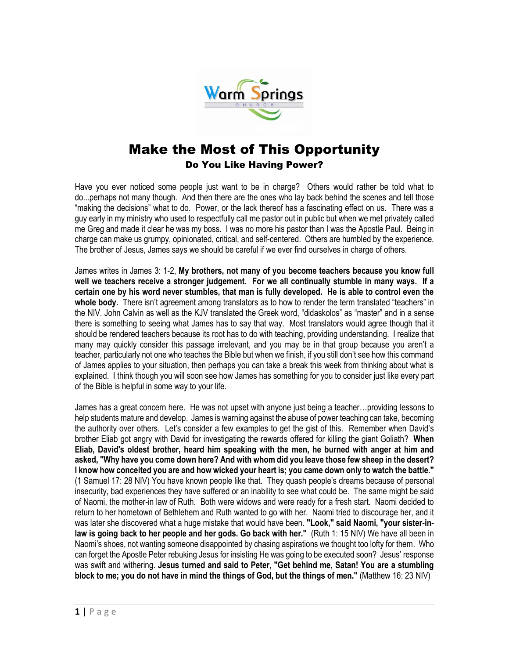

## Make the Most of This Opportunity Do You Like Having Power?

Have you ever noticed some people just want to be in charge? Others would rather be told what to do...perhaps not many though. And then there are the ones who lay back behind the scenes and tell those "making the decisions" what to do. Power, or the lack thereof has a fascinating effect on us. There was a guy early in my ministry who used to respectfully call me pastor out in public but when we met privately called me Greg and made it clear he was my boss. I was no more his pastor than I was the Apostle Paul. Being in charge can make us grumpy, opinionated, critical, and self-centered. Others are humbled by the experience. The brother of Jesus, James says we should be careful if we ever find ourselves in charge of others.

James writes in James 3: 1-2, **My brothers, not many of you become teachers because you know full well we teachers receive a stronger judgement. For we all continually stumble in many ways. If a certain one by his word never stumbles, that man is fully developed. He is able to control even the**  whole body. There isn't agreement among translators as to how to render the term translated "teachers" in the NIV. John Calvin as well as the KJV translated the Greek word, "didaskolos" as "master" and in a sense there is something to seeing what James has to say that way. Most translators would agree though that it should be rendered teachers because its root has to do with teaching, providing understanding. I realize that many may quickly consider this passage irrelevant, and you may be in that group because you aren't a teacher, particularly not one who teaches the Bible but when we finish, if you still don't see how this command of James applies to your situation, then perhaps you can take a break this week from thinking about what is explained. I think though you will soon see how James has something for you to consider just like every part of the Bible is helpful in some way to your life.

James has a great concern here. He was not upset with anyone just being a teacher…providing lessons to help students mature and develop. James is warning against the abuse of power teaching can take, becoming the authority over others. Let's consider a few examples to get the gist of this. Remember when David's brother Eliab got angry with David for investigating the rewards offered for killing the giant Goliath? **When Eliab, David's oldest brother, heard him speaking with the men, he burned with anger at him and asked, "Why have you come down here? And with whom did you leave those few sheep in the desert? I know how conceited you are and how wicked your heart is; you came down only to watch the battle."**  (1 Samuel 17: 28 NIV) You have known people like that. They quash people's dreams because of personal insecurity, bad experiences they have suffered or an inability to see what could be. The same might be said of Naomi, the mother-in law of Ruth. Both were widows and were ready for a fresh start. Naomi decided to return to her hometown of Bethlehem and Ruth wanted to go with her. Naomi tried to discourage her, and it was later she discovered what a huge mistake that would have been. **"Look," said Naomi, "your sister-inlaw is going back to her people and her gods. Go back with her."** (Ruth 1: 15 NIV) We have all been in Naomi's shoes, not wanting someone disappointed by chasing aspirations we thought too lofty for them. Who can forget the Apostle Peter rebuking Jesus for insisting He was going to be executed soon? Jesus' response was swift and withering. **Jesus turned and said to Peter, "Get behind me, Satan! You are a stumbling block to me; you do not have in mind the things of God, but the things of men."** (Matthew 16: 23 NIV)